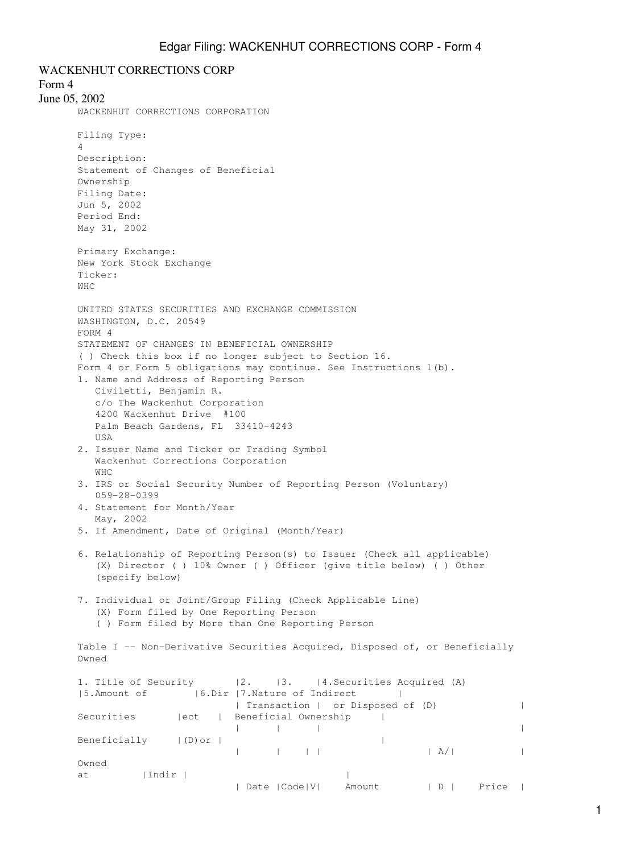WACKENHUT CORRECTIONS CORP Form 4 June 05, 2002 WACKENHUT CORRECTIONS CORPORATION Filing Type: 4 Description: Statement of Changes of Beneficial Ownership Filing Date: Jun 5, 2002 Period End: May 31, 2002 Primary Exchange: New York Stock Exchange Ticker: WHC UNITED STATES SECURITIES AND EXCHANGE COMMISSION WASHINGTON, D.C. 20549 FORM 4 STATEMENT OF CHANGES IN BENEFICIAL OWNERSHIP ( ) Check this box if no longer subject to Section 16. Form 4 or Form 5 obligations may continue. See Instructions 1(b). 1. Name and Address of Reporting Person Civiletti, Benjamin R. c/o The Wackenhut Corporation 4200 Wackenhut Drive #100 Palm Beach Gardens, FL 33410-4243 **IISA** 2. Issuer Name and Ticker or Trading Symbol Wackenhut Corrections Corporation WHC 3. IRS or Social Security Number of Reporting Person (Voluntary) 059-28-0399 4. Statement for Month/Year May, 2002 5. If Amendment, Date of Original (Month/Year) 6. Relationship of Reporting Person(s) to Issuer (Check all applicable) (X) Director ( ) 10% Owner ( ) Officer (give title below) ( ) Other (specify below) 7. Individual or Joint/Group Filing (Check Applicable Line) (X) Form filed by One Reporting Person ( ) Form filed by More than One Reporting Person Table I -- Non-Derivative Securities Acquired, Disposed of, or Beneficially Owned 1. Title of Security |2. |3. |4. Securities Acquired (A) |5.Amount of |6.Dir |7.Nature of Indirect | | Transaction | or Disposed of (D) | Securities |ect | Beneficial Ownership | | | | | Beneficially  $|(D)$  or  $|$  | | | | | A/| | Owned at | Indir |

| Date |Code|V| Amount | D | Price |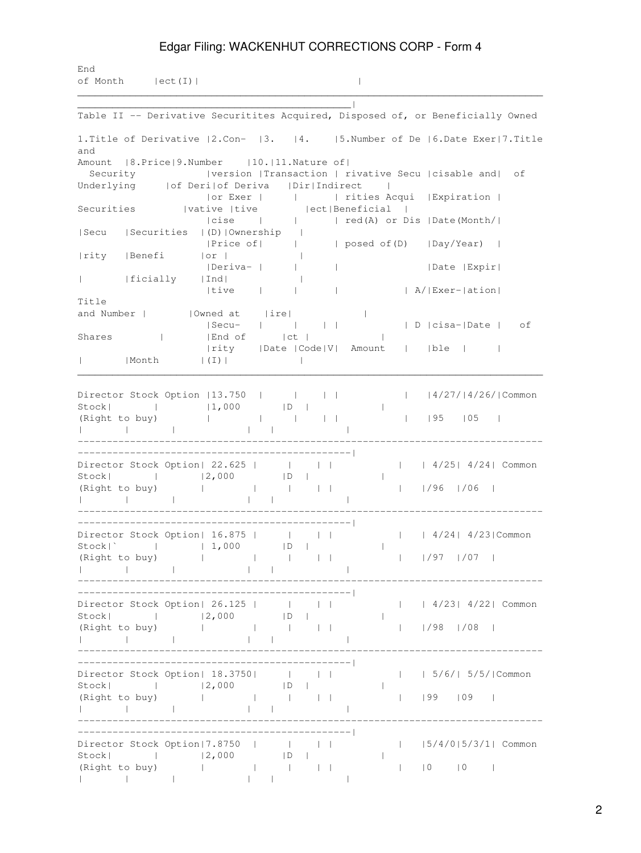## Edgar Filing: WACKENHUT CORRECTIONS CORP - Form 4

End of Month |ect(I)| |  $\mathcal{L}_\mathcal{L} = \mathcal{L}_\mathcal{L} = \mathcal{L}_\mathcal{L} = \mathcal{L}_\mathcal{L} = \mathcal{L}_\mathcal{L} = \mathcal{L}_\mathcal{L} = \mathcal{L}_\mathcal{L} = \mathcal{L}_\mathcal{L} = \mathcal{L}_\mathcal{L} = \mathcal{L}_\mathcal{L} = \mathcal{L}_\mathcal{L} = \mathcal{L}_\mathcal{L} = \mathcal{L}_\mathcal{L} = \mathcal{L}_\mathcal{L} = \mathcal{L}_\mathcal{L} = \mathcal{L}_\mathcal{L} = \mathcal{L}_\mathcal{L}$ 

\_\_\_\_\_\_\_\_\_\_\_\_\_\_\_\_\_\_\_\_\_\_\_\_\_\_\_\_\_\_\_\_\_\_\_\_\_\_\_\_\_\_\_\_\_\_\_| Table II -- Derivative Securitites Acquired, Disposed of, or Beneficially Owned 1.Title of Derivative |2.Con- |3. |4. |5.Number of De |6.Date Exer|7.Title and Amount | 8. Price | 9. Number | 10. | 11. Nature of | Security |version |Transaction | rivative Secu |cisable and| of<br>
Underlying |of Deri|of Deriva | Dir|Indirect | Underlying | | of Deri|of Deriva | Dir|Indirect | |or Exer | | | rities Acqui |Expiration | Securities |vative |tive | |ect|Beneficial | |cise | | | red(A) or Dis |Date(Month/| |Secu |Securities |(D)|Ownership | |Price of| | | posed of(D) |Day/Year) | |rity |Benefi |or | | |Deriva- | | | |Date |Expir| | |ficially |Ind| | |tive | | | | A/|Exer-|ation| Title and Number | | |Owned at |ire| | | |Secu- | | | | | D |cisa-|Date | of Shares | | |End of | | | | | |rity |Date |Code|V| Amount | |ble | | | |Month |(I)| | \_\_\_\_\_\_\_\_\_\_\_\_\_\_\_\_\_\_\_\_\_\_\_\_\_\_\_\_\_\_\_\_\_\_\_\_\_\_\_\_\_\_\_\_\_\_\_\_\_\_\_\_\_\_\_\_\_\_\_\_\_\_\_\_\_\_\_\_\_\_\_\_\_\_\_\_\_\_\_\_ Director Stock Option |13.750 | | | | | |4/27/|4/26/|Common Stock| | | |1,000 | D | | (Right to buy) | | | | | | |95 |05 | | | | | | | -------------------------------------------------------------------------------- -----------------------------------------------| Director Stock Option| 22.625 | | | | | | 4/25| 4/24| Common Stock| | |2,000 |D | | (Right to buy) | | | | | | |/96 |/06 | | | | | | | -------------------------------------------------------------------------------- -----------------------------------------------| Director Stock Option| 16.875 | | | | | | 4/24| 4/23|Common Stock|` | | 1,000 |D | | (Right to buy) | | | | | | |/97 |/07 | | | | | | | -------------------------------------------------------------------------------- -----------------------------------------------| Director Stock Option| 26.125 | | | | | | 4/23| 4/22| Common Stock| | |2,000 |D | | (Right to buy) | | | | | | |/98 |/08 | | | | | | | -------------------------------------------------------------------------------- -----------------------------------------------| Director Stock Option| 18.3750| | | | | | 5/6/| 5/5/|Common Stock| | |2,000 |D | | (Right to buy) | | | | | | |99 |09 | | | | | | | -------------------------------------------------------------------------------- -----------------------------------------------| Director Stock Option|7.8750 | | | | | |5/4/0|5/3/1| Common Stock| | |2,000 |D | | (Right to buy) | | | | | | |0 |0 | | | | | | |